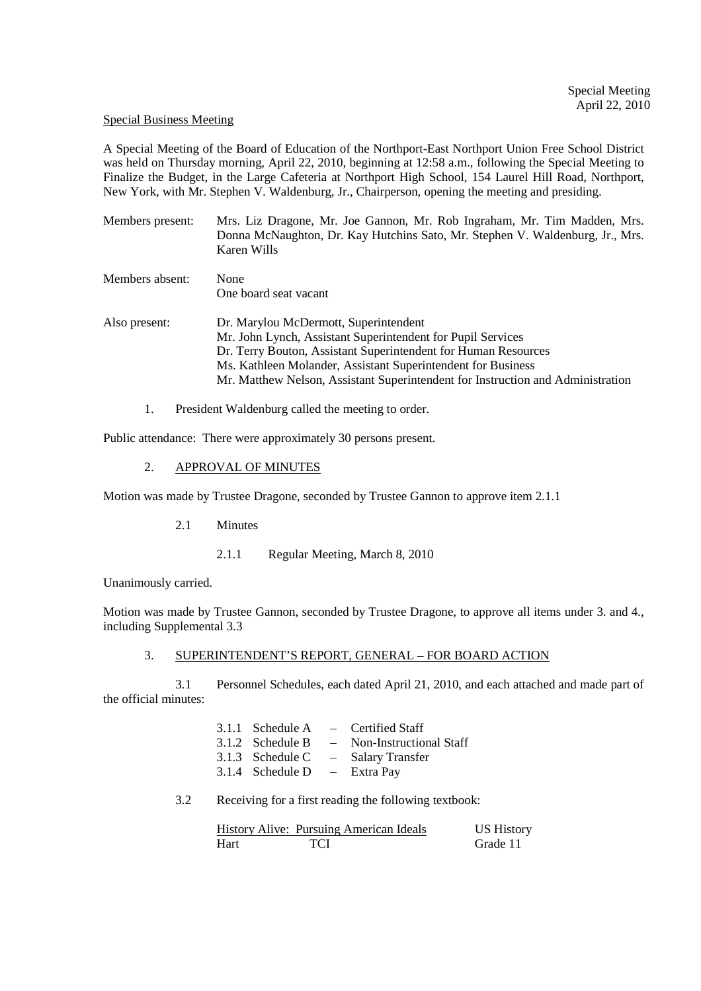#### Special Business Meeting

A Special Meeting of the Board of Education of the Northport-East Northport Union Free School District was held on Thursday morning, April 22, 2010, beginning at 12:58 a.m., following the Special Meeting to Finalize the Budget, in the Large Cafeteria at Northport High School, 154 Laurel Hill Road, Northport, New York, with Mr. Stephen V. Waldenburg, Jr., Chairperson, opening the meeting and presiding.

| Members present: | Mrs. Liz Dragone, Mr. Joe Gannon, Mr. Rob Ingraham, Mr. Tim Madden, Mrs.<br>Donna McNaughton, Dr. Kay Hutchins Sato, Mr. Stephen V. Waldenburg, Jr., Mrs.<br>Karen Wills                                                                                                                                                  |
|------------------|---------------------------------------------------------------------------------------------------------------------------------------------------------------------------------------------------------------------------------------------------------------------------------------------------------------------------|
| Members absent:  | None<br>One board seat vacant                                                                                                                                                                                                                                                                                             |
| Also present:    | Dr. Marylou McDermott, Superintendent<br>Mr. John Lynch, Assistant Superintendent for Pupil Services<br>Dr. Terry Bouton, Assistant Superintendent for Human Resources<br>Ms. Kathleen Molander, Assistant Superintendent for Business<br>Mr. Matthew Nelson, Assistant Superintendent for Instruction and Administration |

1. President Waldenburg called the meeting to order.

Public attendance: There were approximately 30 persons present.

# 2. APPROVAL OF MINUTES

Motion was made by Trustee Dragone, seconded by Trustee Gannon to approve item 2.1.1

2.1 Minutes

2.1.1 Regular Meeting, March 8, 2010

Unanimously carried.

Motion was made by Trustee Gannon, seconded by Trustee Dragone, to approve all items under 3. and 4., including Supplemental 3.3

# 3. SUPERINTENDENT'S REPORT, GENERAL – FOR BOARD ACTION

3.1 Personnel Schedules, each dated April 21, 2010, and each attached and made part of the official minutes:

|                                | $3.1.1$ Schedule A $-$ Certified Staff |
|--------------------------------|----------------------------------------|
| 3.1.2 Schedule B               | - Non-Instructional Staff              |
| 3.1.3 Schedule C               | - Salary Transfer                      |
| 3.1.4 Schedule $D - Extra Pay$ |                                        |

3.2 Receiving for a first reading the following textbook:

|      | History Alive: Pursuing American Ideals | <b>US History</b> |
|------|-----------------------------------------|-------------------|
| Hart | <b>TCI</b>                              | Grade 11          |